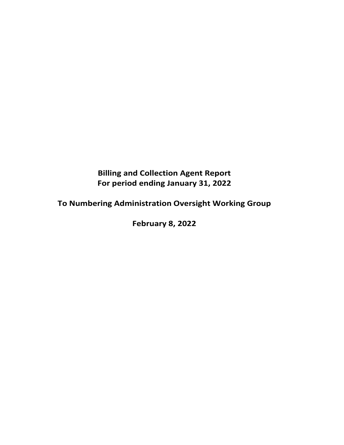# **Billing and Collection Agent Report For period ending January 31, 2022**

**To Numbering Administration Oversight Working Group**

**February 8, 2022**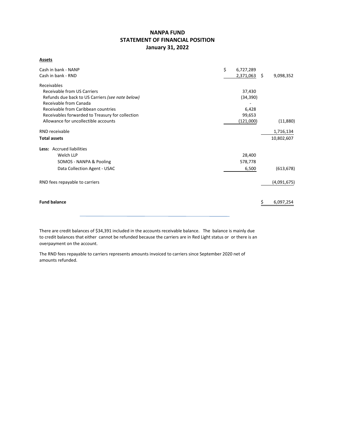## **NANPA FUND STATEMENT OF FINANCIAL POSITION January 31, 2022**

**Assets**

| Cash in bank - NANP<br>Cash in bank - RND        | \$<br>6,727,289<br>2,371,063 | \$<br>9,098,352 |
|--------------------------------------------------|------------------------------|-----------------|
| Receivables                                      |                              |                 |
| <b>Receivable from US Carriers</b>               | 37,430                       |                 |
| Refunds due back to US Carriers (see note below) | (34, 390)                    |                 |
| Receivable from Canada                           |                              |                 |
| Receivable from Caribbean countries              | 6,428                        |                 |
| Receivables forwarded to Treasury for collection | 99,653                       |                 |
| Allowance for uncollectible accounts             | (121,000)                    | (11,880)        |
| RND receivable                                   |                              | 1,716,134       |
| <b>Total assets</b>                              |                              | 10,802,607      |
| Less: Accrued liabilities                        |                              |                 |
| Welch LLP                                        | 28,400                       |                 |
| SOMOS - NANPA & Pooling                          | 578,778                      |                 |
| Data Collection Agent - USAC                     | 6,500                        | (613, 678)      |
| RND fees repayable to carriers                   |                              | (4,091,675)     |
|                                                  |                              |                 |
| <b>Fund balance</b>                              |                              | 6,097,254       |
|                                                  |                              |                 |

There are credit balances of \$34,391 included in the accounts receivable balance. The balance is mainly due to credit balances that either cannot be refunded because the carriers are in Red Light status or or there is an overpayment on the account.

The RND fees repayable to carriers represents amounts invoiced to carriers since September 2020 net of amounts refunded.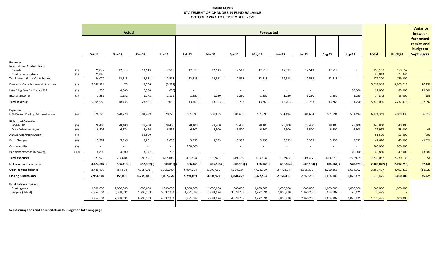#### **NANP FUND STATEMENT OF CHANGES IN FUND BALANCE OCTOBER 2021 TO SEPTEMBER 2022**

|                                                                            |            | <b>Actual</b>                       |                                     |                                     |                                     |                                     |                                     |                                     |                                     | <b>Variance</b><br>between          |                                     |                                   |                                  |                                  |                        |                                                             |
|----------------------------------------------------------------------------|------------|-------------------------------------|-------------------------------------|-------------------------------------|-------------------------------------|-------------------------------------|-------------------------------------|-------------------------------------|-------------------------------------|-------------------------------------|-------------------------------------|-----------------------------------|----------------------------------|----------------------------------|------------------------|-------------------------------------------------------------|
|                                                                            |            | Oct-21                              | <b>Nov-21</b>                       | <b>Dec-21</b>                       | Jan-22                              | Feb-22                              | Mar-22                              | Apr-22                              | <b>May-22</b>                       | <b>Jun-22</b>                       | <b>Jul-22</b>                       | <b>Aug-22</b>                     | <b>Sep-22</b>                    | <b>Total</b>                     | <b>Budget</b>          | forecasted<br>results and<br>budget at<br><b>Sept 30/22</b> |
| Revenue<br><b>International Contributions</b><br>Canada                    | (1)        | 25,027                              | 12,513                              | 12,513                              | 12,513                              | 12,513                              | 12,513                              | 12,513                              | 12,513                              | 12,513                              | 12,513                              | 12,513                            | $\sim$                           | 150,157                          | 150,157                |                                                             |
| Caribbean countries<br><b>Total International Contributions</b>            | (1)        | 29,043<br>54,070                    | $\sim$<br>12,513                    | $\sim$<br>12,513                    | $\sim$<br>12,513                    | 12,513                              | 12,513                              | 12,513                              | 12,513                              | 12,513                              | 12,513                              | 12,513                            | $\sim$<br>$\sim$                 | 29,043<br>179,200                | 29,043<br>179,200      |                                                             |
| Domestic Contributions - US carriers                                       | (1)        | 5,040,124                           | 70                                  | 3,766                               | (3,992)                             |                                     |                                     |                                     |                                     |                                     |                                     |                                   |                                  | 5,039,968                        | 4,963,718              | 76,250                                                      |
| Late filing fees for Form 499A                                             | (2)        | 500                                 | 4,600                               | 6,500                               | (600)                               |                                     |                                     |                                     |                                     |                                     |                                     |                                   | 80,000                           | 91,000                           | 80,000                 | 11,000                                                      |
| Interest income                                                            | (3)        | 1,289                               | 1,252                               | 1,172                               | 1,129                               | 1,250                               | 1,250                               | 1,250                               | 1,250                               | 1,250                               | 1,250                               | 1,250                             | 1,250                            | 14,842                           | 15,000                 | (158)                                                       |
| <b>Total revenue</b>                                                       |            | 5,095,983                           | 18,435                              | 23,951                              | 9,050                               | 13,763                              | 13,763                              | 13,763                              | 13,763                              | 13,763                              | 13,763                              | 13,763                            | 81,250                           | 5,325,010                        | 5,237,918              | 87,092                                                      |
| <b>Expenses</b><br>NANPA and Pooling Administration                        | (4)        | 578,778                             | 578,778                             | 584,429                             | 578,778                             | 581,695                             | 581,695                             | 581,695                             | 581,695                             | 581,694                             | 581,694                             | 581,694                           | 581,694                          | 6,974,319                        | 6,980,336              | 6,017                                                       |
| <b>Billing and Collection</b><br>Welch LLP<br><b>Data Collection Agent</b> | (5)<br>(6) | 28,400<br>6,401                     | 28,400<br>6,574                     | 28,400<br>6,426                     | 28,400<br>6,556                     | 28,400<br>6,500                     | 28,400<br>6,500                     | 28,400<br>6,500                     | 28,400<br>6,500                     | 28,400<br>6,500                     | 28,400<br>6,500                     | 28,400<br>6,500                   | 28,400<br>6,500                  | 340,800<br>77,957                | 340,800<br>78,000      | 43                                                          |
| <b>Annual Operations Audit</b>                                             | (7)        | $\sim$                              | $\sim$                              | 51,500                              | $\sim$                              | $\sim$                              | $\sim$                              | $\sim$                              | $\sim$                              | $\sim$                              | $\sim$                              |                                   | $\sim$                           | 51,500                           | 51,000                 | (500)                                                       |
| <b>Bank Charges</b>                                                        | (8)        | 3,597                               | 5,896                               | 2,801                               | 2,668                               | 3,333                               | 3,333                               | 3,333                               | 3,333                               | 3,333                               | 3,333                               | 3,333                             | 3,333                            | 41,626                           | 40,000                 | (1,626)                                                     |
| <b>Carrier Audits</b>                                                      | (9)        | $\overline{\phantom{a}}$            |                                     | $\sim$                              |                                     | 200,000                             |                                     |                                     |                                     |                                     |                                     |                                   | $\sim$                           | 200,000                          | 200,000                |                                                             |
| Bad debt expense (recovery)                                                | (10)       | 4,800                               | (4,800)                             | 3,177                               | 703                                 | $\sim$                              | $\overline{\phantom{a}}$            |                                     |                                     |                                     |                                     | $\sim$                            | 40,000                           | 43,880                           | 40,000                 | (3,880)                                                     |
| <b>Total expenses</b>                                                      |            | 621,976                             | 614,848                             | 676,733                             | 617,105                             | 819,928                             | 619,928                             | 619,928                             | 619,928                             | 619,927                             | 619,927                             | 619,927                           | 659,927                          | 7,730,082                        | 7,730,136              | 54                                                          |
| Net revenue (expenses)                                                     |            | 4,474,007                           | 596,413)                            | 652,782)                            | 608,055)                            | 806,165)                            | 606,165)                            | 606,165)                            | 606,165)                            | 606,164) (                          | 606,164)                            | 606,164)                          | 578,677)                         | 2,405,072                        | 2,492,218)             | 87,146                                                      |
| <b>Opening fund balance</b>                                                |            | 3,480,497                           | 7,954,504                           | 7,358,091                           | 6,705,309                           | 6,097,254                           | 5,291,089                           | 4,684,924                           | 4,078,759                           | 3,472,594                           | 2,866,430                           | 2,260,266                         | 1,654,102                        | 3,480,497                        | 3,492,218              | (11, 721)                                                   |
| <b>Closing fund balance</b>                                                |            | 7,954,504                           | 7,358,091                           | 6,705,309                           | 6,097,254                           | 5,291,089                           | 4,684,924                           | 4,078,759                           | 3,472,594                           | 2,866,430                           | 2,260,266                           | 1,654,102                         | 1,075,425                        | 1,075,425                        | 1,000,000              | 75,425                                                      |
| Fund balance makeup:<br>Contingency<br>Surplus (deficit)                   |            | 1,000,000<br>6,954,504<br>7,954,504 | 1,000,000<br>6,358,091<br>7,358,091 | 1,000,000<br>5,705,309<br>6,705,309 | 1,000,000<br>5,097,254<br>6,097,254 | 1,000,000<br>4,291,089<br>5,291,089 | 1,000,000<br>3,684,924<br>4,684,924 | 1,000,000<br>3,078,759<br>4,078,759 | 1,000,000<br>2,472,594<br>3,472,594 | 1,000,000<br>1,866,430<br>2,866,430 | 1,000,000<br>1,260,266<br>2,260,266 | 1,000,000<br>654,102<br>1,654,102 | 1,000,000<br>75,425<br>1,075,425 | 1,000,000<br>75,425<br>1,075,425 | 1,000,000<br>1,000,000 |                                                             |
|                                                                            |            |                                     |                                     |                                     |                                     |                                     |                                     |                                     |                                     |                                     |                                     |                                   |                                  |                                  |                        |                                                             |

**See Assumptions and Reconciliation to Budget on following page**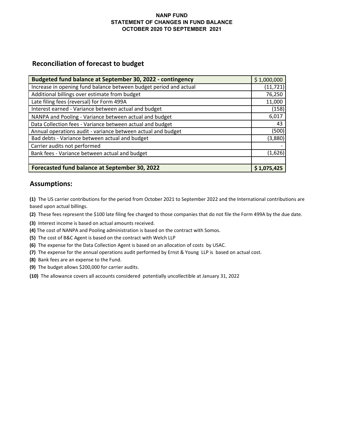## **NANP FUND STATEMENT OF CHANGES IN FUND BALANCE OCTOBER 2020 TO SEPTEMBER 2021**

## **Reconciliation of forecast to budget**

| Budgeted fund balance at September 30, 2022 - contingency         | \$1,000,000 |
|-------------------------------------------------------------------|-------------|
| Increase in opening fund balance between budget period and actual | (11, 721)   |
| Additional billings over estimate from budget                     | 76,250      |
| Late filing fees (reversal) for Form 499A                         | 11,000      |
| Interest earned - Variance between actual and budget              | (158)       |
| NANPA and Pooling - Variance between actual and budget            | 6,017       |
| Data Collection fees - Variance between actual and budget         | 43          |
| Annual operations audit - variance between actual and budget      | (500)       |
| Bad debts - Variance between actual and budget                    | (3,880)     |
| Carrier audits not performed                                      |             |
| Bank fees - Variance between actual and budget                    | (1,626)     |
|                                                                   |             |
| Forecasted fund balance at September 30, 2022                     | \$1,075,425 |

## **Assumptions:**

**(1)** The US carrier contributions for the period from October 2021 to September 2022 and the International contributions are based upon actual billings.

**(2)** These fees represent the \$100 late filing fee charged to those companies that do not file the Form 499A by the due date.

- **(3)** Interest income is based on actual amounts received.
- **(4)** The cost of NANPA and Pooling administration is based on the contract with Somos.
- **(5)** The cost of B&C Agent is based on the contract with Welch LLP
- **(6)** The expense for the Data Collection Agent is based on an allocation of costs by USAC.
- **(7)** The expense for the annual operations audit performed by Ernst & Young LLP is based on actual cost.
- **(8)** Bank fees are an expense to the Fund.
- **(9)** The budget allows \$200,000 for carrier audits.
- **(10)** The allowance covers all accounts considered potentially uncollectible at January 31, 2022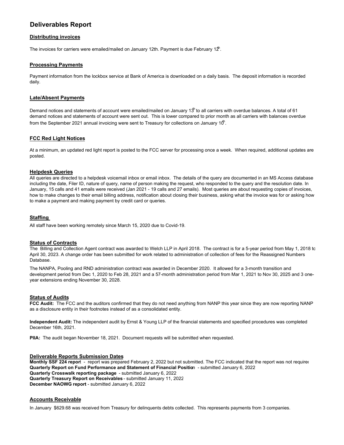## **Deliverables Report**

#### **Distributing invoices**

The invoices for carriers were emailed/mailed on January 12th. Payment is due February 1 $2^{\mathsf{h}}$ .

#### **Processing Payments**

Payment information from the lockbox service at Bank of America is downloaded on a daily basis. The deposit information is recorded daily.

#### **Late/Absent Payments**

Demand notices and statements of account were emailed/mailed on January 13<sup>th</sup> to all carriers with overdue balances. A total of 61 demand notices and statements of account were sent out. This is lower compared to prior month as all carriers with balances overdue from the September 2021 annual invoicing were sent to Treasury for collections on January 10 $^{\text{th}}$ .

#### **FCC Red Light Notices**

At a minimum, an updated red light report is posted to the FCC server for processing once a week. When required, additional updates are posted.

#### **Helpdesk Queries**

All queries are directed to a helpdesk voicemail inbox or email inbox. The details of the query are documented in an MS Access database including the date, Filer ID, nature of query, name of person making the request, who responded to the query and the resolution date. In January, 15 calls and 41 emails were received (Jan 2021 - 19 calls and 27 emails). Most queries are about requesting copies of invoices, how to make changes to their email billing address, notification about closing their business, asking what the invoice was for or asking how to make a payment and making payment by credit card or queries.

#### **Staffing**

All staff have been working remotely since March 15, 2020 due to Covid-19.

#### **Status of Contracts**

The Billing and Collection Agent contract was awarded to Welch LLP in April 2018. The contract is for a 5-year period from May 1, 2018 to April 30, 2023. A change order has been submitted for work related to administration of collection of fees for the Reassigned Numbers Database.

The NANPA, Pooling and RND administration contract was awarded in December 2020. It allowed for a 3-month transition and development period from Dec 1, 2020 to Feb 28, 2021 and a 57-month administration period from Mar 1, 2021 to Nov 30, 2025 and 3 oneyear extensions ending November 30, 2028.

#### **Status of Audits**

**FCC Audit:** The FCC and the auditors confirmed that they do not need anything from NANP this year since they are now reporting NANP as a disclosure entity in their footnotes instead of as a consolidated entity.

**Independent Audit:** The independent audit by Ernst & Young LLP of the financial statements and specified procedures was completed December 16th, 2021.

**PIIA:** The audit began November 18, 2021. Document requests will be submitted when requested.

## **Deliverable Reports Submission Dates**

Monthly SSF 224 report - report was prepared February 2, 2022 but not submitted. The FCC indicated that the report was not required **Quarterly Report on Fund Performance and Statement of Financial Positio**n - submitted January 6, 2022 **Quarterly Crosswalk reporting package** - submitted January 6, 2022 **Quarterly Treasury Report on Receivables** - submitted January 11, 2022 **December NAOWG report** - submitted January 6, 2022

#### **Accounts Receivable**

In January \$629.68 was received from Treasury for delinquents debts collected. This represents payments from 3 companies.